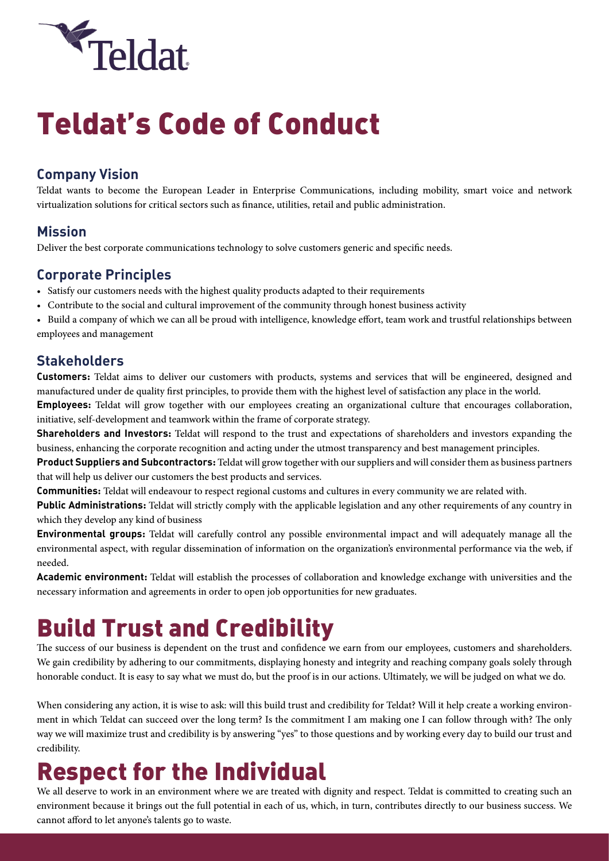

# Teldat's Code of Conduct

### **Company Vision**

Teldat wants to become the European Leader in Enterprise Communications, including mobility, smart voice and network virtualization solutions for critical sectors such as finance, utilities, retail and public administration.

#### **Mission**

Deliver the best corporate communications technology to solve customers generic and specific needs.

#### **Corporate Principles**

- Satisfy our customers needs with the highest quality products adapted to their requirements
- Contribute to the social and cultural improvement of the community through honest business activity

• Build a company of which we can all be proud with intelligence, knowledge effort, team work and trustful relationships between employees and management

#### **Stakeholders**

**Customers:** Teldat aims to deliver our customers with products, systems and services that will be engineered, designed and manufactured under de quality first principles, to provide them with the highest level of satisfaction any place in the world.

**Employees:** Teldat will grow together with our employees creating an organizational culture that encourages collaboration, initiative, self-development and teamwork within the frame of corporate strategy.

**Shareholders and Investors:** Teldat will respond to the trust and expectations of shareholders and investors expanding the business, enhancing the corporate recognition and acting under the utmost transparency and best management principles.

**Product Suppliers and Subcontractors:** Teldat will grow together with our suppliers and will consider them as business partners that will help us deliver our customers the best products and services.

**Communities:** Teldat will endeavour to respect regional customs and cultures in every community we are related with.

**Public Administrations:** Teldat will strictly comply with the applicable legislation and any other requirements of any country in which they develop any kind of business

**Environmental groups:** Teldat will carefully control any possible environmental impact and will adequately manage all the environmental aspect, with regular dissemination of information on the organization's environmental performance via the web, if needed.

**Academic environment:** Teldat will establish the processes of collaboration and knowledge exchange with universities and the necessary information and agreements in order to open job opportunities for new graduates.

## Build Trust and Credibility

The success of our business is dependent on the trust and confidence we earn from our employees, customers and shareholders. We gain credibility by adhering to our commitments, displaying honesty and integrity and reaching company goals solely through honorable conduct. It is easy to say what we must do, but the proof is in our actions. Ultimately, we will be judged on what we do.

When considering any action, it is wise to ask: will this build trust and credibility for Teldat? Will it help create a working environment in which Teldat can succeed over the long term? Is the commitment I am making one I can follow through with? The only way we will maximize trust and credibility is by answering "yes" to those questions and by working every day to build our trust and credibility.

### Respect for the Individual

We all deserve to work in an environment where we are treated with dignity and respect. Teldat is committed to creating such an environment because it brings out the full potential in each of us, which, in turn, contributes directly to our business success. We cannot afford to let anyone's talents go to waste.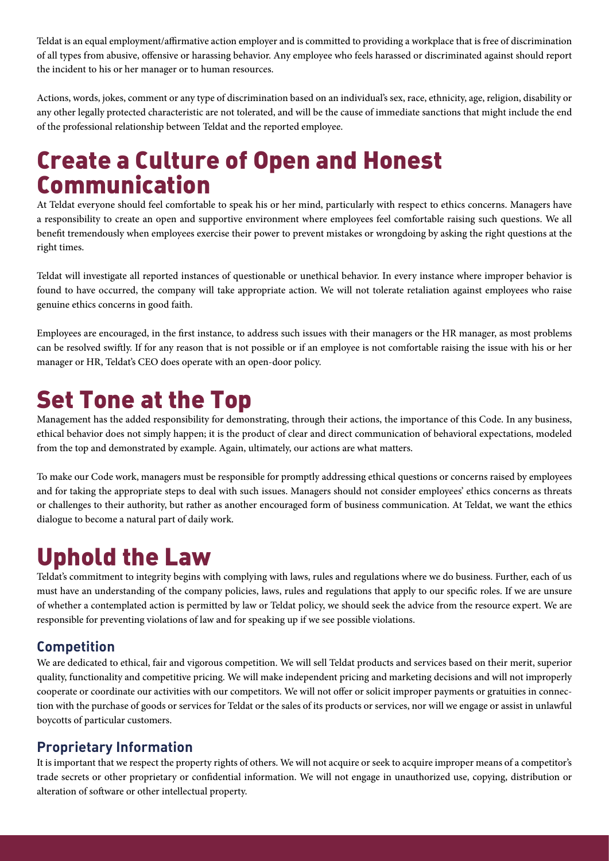Teldat is an equal employment/affirmative action employer and is committed to providing a workplace that is free of discrimination of all types from abusive, offensive or harassing behavior. Any employee who feels harassed or discriminated against should report the incident to his or her manager or to human resources.

Actions, words, jokes, comment or any type of discrimination based on an individual's sex, race, ethnicity, age, religion, disability or any other legally protected characteristic are not tolerated, and will be the cause of immediate sanctions that might include the end of the professional relationship between Teldat and the reported employee.

### Create a Culture of Open and Honest Communication

At Teldat everyone should feel comfortable to speak his or her mind, particularly with respect to ethics concerns. Managers have a responsibility to create an open and supportive environment where employees feel comfortable raising such questions. We all benefit tremendously when employees exercise their power to prevent mistakes or wrongdoing by asking the right questions at the right times.

Teldat will investigate all reported instances of questionable or unethical behavior. In every instance where improper behavior is found to have occurred, the company will take appropriate action. We will not tolerate retaliation against employees who raise genuine ethics concerns in good faith.

Employees are encouraged, in the first instance, to address such issues with their managers or the HR manager, as most problems can be resolved swiftly. If for any reason that is not possible or if an employee is not comfortable raising the issue with his or her manager or HR, Teldat's CEO does operate with an open-door policy.

### Set Tone at the Top

Management has the added responsibility for demonstrating, through their actions, the importance of this Code. In any business, ethical behavior does not simply happen; it is the product of clear and direct communication of behavioral expectations, modeled from the top and demonstrated by example. Again, ultimately, our actions are what matters.

To make our Code work, managers must be responsible for promptly addressing ethical questions or concerns raised by employees and for taking the appropriate steps to deal with such issues. Managers should not consider employees' ethics concerns as threats or challenges to their authority, but rather as another encouraged form of business communication. At Teldat, we want the ethics dialogue to become a natural part of daily work.

### Uphold the Law

Teldat's commitment to integrity begins with complying with laws, rules and regulations where we do business. Further, each of us must have an understanding of the company policies, laws, rules and regulations that apply to our specific roles. If we are unsure of whether a contemplated action is permitted by law or Teldat policy, we should seek the advice from the resource expert. We are responsible for preventing violations of law and for speaking up if we see possible violations.

#### **Competition**

We are dedicated to ethical, fair and vigorous competition. We will sell Teldat products and services based on their merit, superior quality, functionality and competitive pricing. We will make independent pricing and marketing decisions and will not improperly cooperate or coordinate our activities with our competitors. We will not offer or solicit improper payments or gratuities in connection with the purchase of goods or services for Teldat or the sales of its products or services, nor will we engage or assist in unlawful boycotts of particular customers.

#### **Proprietary Information**

It is important that we respect the property rights of others. We will not acquire or seek to acquire improper means of a competitor's trade secrets or other proprietary or confidential information. We will not engage in unauthorized use, copying, distribution or alteration of software or other intellectual property.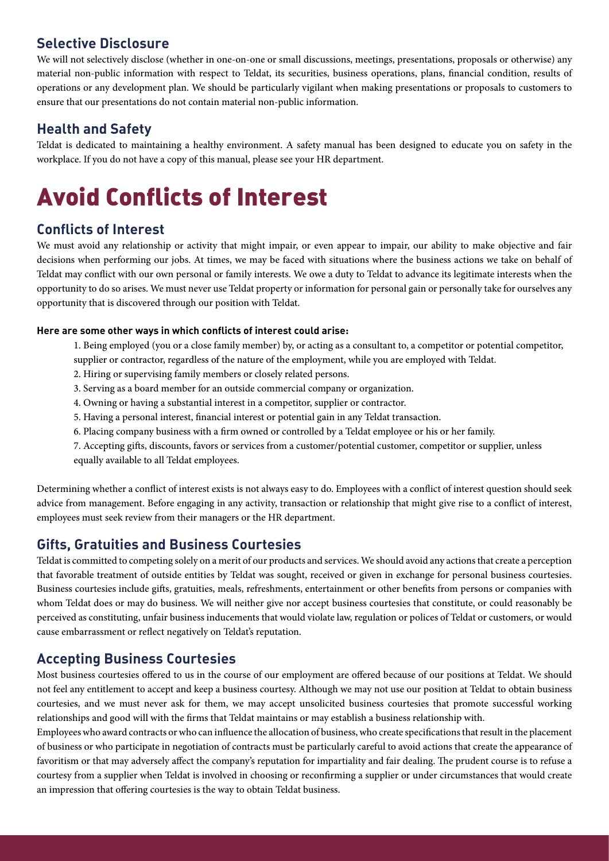#### **Selective Disclosure**

We will not selectively disclose (whether in one-on-one or small discussions, meetings, presentations, proposals or otherwise) any material non-public information with respect to Teldat, its securities, business operations, plans, financial condition, results of operations or any development plan. We should be particularly vigilant when making presentations or proposals to customers to ensure that our presentations do not contain material non-public information.

#### **Health and Safety**

Teldat is dedicated to maintaining a healthy environment. A safety manual has been designed to educate you on safety in the workplace. If you do not have a copy of this manual, please see your HR department.

## Avoid Conflicts of Interest

#### **Conflicts of Interest**

We must avoid any relationship or activity that might impair, or even appear to impair, our ability to make objective and fair decisions when performing our jobs. At times, we may be faced with situations where the business actions we take on behalf of Teldat may conflict with our own personal or family interests. We owe a duty to Teldat to advance its legitimate interests when the opportunity to do so arises. We must never use Teldat property or information for personal gain or personally take for ourselves any opportunity that is discovered through our position with Teldat.

#### **Here are some other ways in which conflicts of interest could arise:**

- 1. Being employed (you or a close family member) by, or acting as a consultant to, a competitor or potential competitor,
- supplier or contractor, regardless of the nature of the employment, while you are employed with Teldat.
- 2. Hiring or supervising family members or closely related persons.
- 3. Serving as a board member for an outside commercial company or organization.
- 4. Owning or having a substantial interest in a competitor, supplier or contractor.
- 5. Having a personal interest, financial interest or potential gain in any Teldat transaction.
- 6. Placing company business with a firm owned or controlled by a Teldat employee or his or her family.
- 7. Accepting gifts, discounts, favors or services from a customer/potential customer, competitor or supplier, unless equally available to all Teldat employees.

Determining whether a conflict of interest exists is not always easy to do. Employees with a conflict of interest question should seek advice from management. Before engaging in any activity, transaction or relationship that might give rise to a conflict of interest, employees must seek review from their managers or the HR department.

#### **Gifts, Gratuities and Business Courtesies**

Teldat is committed to competing solely on a merit of our products and services. We should avoid any actions that create a perception that favorable treatment of outside entities by Teldat was sought, received or given in exchange for personal business courtesies. Business courtesies include gifts, gratuities, meals, refreshments, entertainment or other benefits from persons or companies with whom Teldat does or may do business. We will neither give nor accept business courtesies that constitute, or could reasonably be perceived as constituting, unfair business inducements that would violate law, regulation or polices of Teldat or customers, or would cause embarrassment or reflect negatively on Teldat's reputation.

#### **Accepting Business Courtesies**

Most business courtesies offered to us in the course of our employment are offered because of our positions at Teldat. We should not feel any entitlement to accept and keep a business courtesy. Although we may not use our position at Teldat to obtain business courtesies, and we must never ask for them, we may accept unsolicited business courtesies that promote successful working relationships and good will with the firms that Teldat maintains or may establish a business relationship with.

Employees who award contracts or who can influence the allocation of business, who create specifications that result in the placement of business or who participate in negotiation of contracts must be particularly careful to avoid actions that create the appearance of favoritism or that may adversely affect the company's reputation for impartiality and fair dealing. The prudent course is to refuse a courtesy from a supplier when Teldat is involved in choosing or reconfirming a supplier or under circumstances that would create an impression that offering courtesies is the way to obtain Teldat business.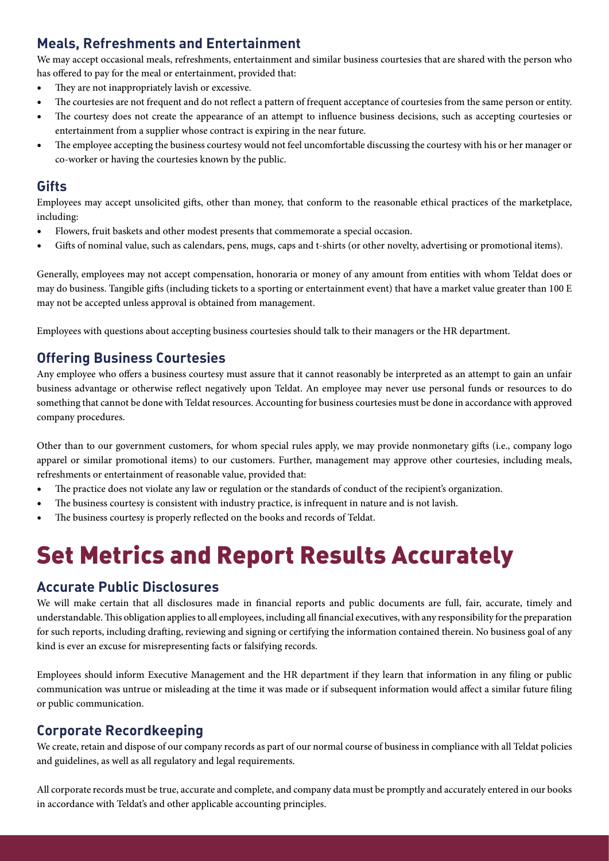#### **Meals, Refreshments and Entertainment**

We may accept occasional meals, refreshments, entertainment and similar business courtesies that are shared with the person who has offered to pay for the meal or entertainment, provided that:

- They are not inappropriately lavish or excessive.
- The courtesies are not frequent and do not reflect a pattern of frequent acceptance of courtesies from the same person or entity.
- The courtesy does not create the appearance of an attempt to influence business decisions, such as accepting courtesies or entertainment from a supplier whose contract is expiring in the near future.
- The employee accepting the business courtesy would not feel uncomfortable discussing the courtesy with his or her manager or co-worker or having the courtesies known by the public.

#### **Gifts**

Employees may accept unsolicited gifts, other than money, that conform to the reasonable ethical practices of the marketplace, including:

- Flowers, fruit baskets and other modest presents that commemorate a special occasion.
- Gifts of nominal value, such as calendars, pens, mugs, caps and t-shirts (or other novelty, advertising or promotional items).

Generally, employees may not accept compensation, honoraria or money of any amount from entities with whom Teldat does or may do business. Tangible gifts (including tickets to a sporting or entertainment event) that have a market value greater than 100 E may not be accepted unless approval is obtained from management.

Employees with questions about accepting business courtesies should talk to their managers or the HR department.

#### **Offering Business Courtesies**

Any employee who offers a business courtesy must assure that it cannot reasonably be interpreted as an attempt to gain an unfair business advantage or otherwise reflect negatively upon Teldat. An employee may never use personal funds or resources to do something that cannot be done with Teldat resources. Accounting for business courtesies must be done in accordance with approved company procedures.

Other than to our government customers, for whom special rules apply, we may provide nonmonetary gifts (i.e., company logo apparel or similar promotional items) to our customers. Further, management may approve other courtesies, including meals, refreshments or entertainment of reasonable value, provided that:

- The practice does not violate any law or regulation or the standards of conduct of the recipient's organization.
- The business courtesy is consistent with industry practice, is infrequent in nature and is not lavish.
- The business courtesy is properly reflected on the books and records of Teldat.

## Set Metrics and Report Results Accurately

#### **Accurate Public Disclosures**

We will make certain that all disclosures made in financial reports and public documents are full, fair, accurate, timely and understandable. This obligation applies to all employees, including all financial executives, with any responsibility for the preparation for such reports, including drafting, reviewing and signing or certifying the information contained therein. No business goal of any kind is ever an excuse for misrepresenting facts or falsifying records.

Employees should inform Executive Management and the HR department if they learn that information in any filing or public communication was untrue or misleading at the time it was made or if subsequent information would affect a similar future filing or public communication.

#### **Corporate Recordkeeping**

We create, retain and dispose of our company records as part of our normal course of business in compliance with all Teldat policies and guidelines, as well as all regulatory and legal requirements.

All corporate records must be true, accurate and complete, and company data must be promptly and accurately entered in our books in accordance with Teldat's and other applicable accounting principles.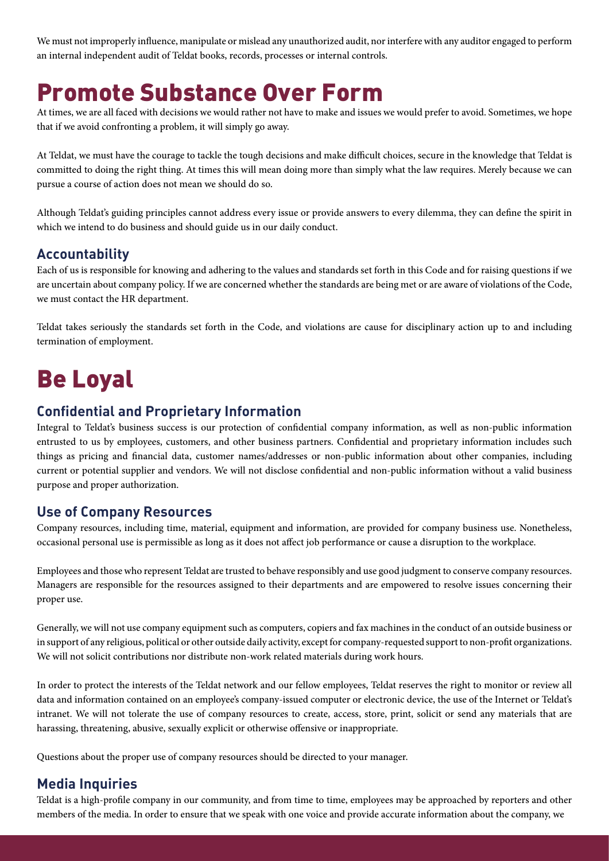We must not improperly influence, manipulate or mislead any unauthorized audit, nor interfere with any auditor engaged to perform an internal independent audit of Teldat books, records, processes or internal controls.

### Promote Substance Over Form

At times, we are all faced with decisions we would rather not have to make and issues we would prefer to avoid. Sometimes, we hope that if we avoid confronting a problem, it will simply go away.

At Teldat, we must have the courage to tackle the tough decisions and make difficult choices, secure in the knowledge that Teldat is committed to doing the right thing. At times this will mean doing more than simply what the law requires. Merely because we can pursue a course of action does not mean we should do so.

Although Teldat's guiding principles cannot address every issue or provide answers to every dilemma, they can define the spirit in which we intend to do business and should guide us in our daily conduct.

#### **Accountability**

Each of us is responsible for knowing and adhering to the values and standards set forth in this Code and for raising questions if we are uncertain about company policy. If we are concerned whether the standards are being met or are aware of violations of the Code, we must contact the HR department.

Teldat takes seriously the standards set forth in the Code, and violations are cause for disciplinary action up to and including termination of employment.

### Be Loyal

#### **Confidential and Proprietary Information**

Integral to Teldat's business success is our protection of confidential company information, as well as non-public information entrusted to us by employees, customers, and other business partners. Confidential and proprietary information includes such things as pricing and financial data, customer names/addresses or non-public information about other companies, including current or potential supplier and vendors. We will not disclose confidential and non-public information without a valid business purpose and proper authorization.

#### **Use of Company Resources**

Company resources, including time, material, equipment and information, are provided for company business use. Nonetheless, occasional personal use is permissible as long as it does not affect job performance or cause a disruption to the workplace.

Employees and those who represent Teldat are trusted to behave responsibly and use good judgment to conserve company resources. Managers are responsible for the resources assigned to their departments and are empowered to resolve issues concerning their proper use.

Generally, we will not use company equipment such as computers, copiers and fax machines in the conduct of an outside business or in support of any religious, political or other outside daily activity, except for company-requested support to non-profit organizations. We will not solicit contributions nor distribute non-work related materials during work hours.

In order to protect the interests of the Teldat network and our fellow employees, Teldat reserves the right to monitor or review all data and information contained on an employee's company-issued computer or electronic device, the use of the Internet or Teldat's intranet. We will not tolerate the use of company resources to create, access, store, print, solicit or send any materials that are harassing, threatening, abusive, sexually explicit or otherwise offensive or inappropriate.

Questions about the proper use of company resources should be directed to your manager.

#### **Media Inquiries**

Teldat is a high-profile company in our community, and from time to time, employees may be approached by reporters and other members of the media. In order to ensure that we speak with one voice and provide accurate information about the company, we